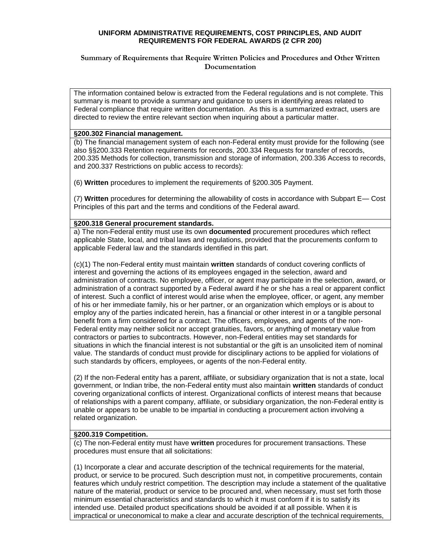## **UNIFORM ADMINISTRATIVE REQUIREMENTS, COST PRINCIPLES, AND AUDIT REQUIREMENTS FOR FEDERAL AWARDS (2 CFR 200)**

# **Summary of Requirements that Require Written Policies and Procedures and Other Written Documentation**

The information contained below is extracted from the Federal regulations and is not complete. This summary is meant to provide a summary and guidance to users in identifying areas related to Federal compliance that require written documentation. As this is a summarized extract, users are directed to review the entire relevant section when inquiring about a particular matter.

#### **§200.302 Financial management.**

(b) The financial management system of each non-Federal entity must provide for the following (see also §§200.333 Retention requirements for records, 200.334 Requests for transfer of records, 200.335 Methods for collection, transmission and storage of information, 200.336 Access to records, and 200.337 Restrictions on public access to records):

(6) **Written** procedures to implement the requirements of §200.305 Payment.

(7) **Written** procedures for determining the allowability of costs in accordance with Subpart E— Cost Principles of this part and the terms and conditions of the Federal award.

#### **§200.318 General procurement standards.**

a) The non-Federal entity must use its own **documented** procurement procedures which reflect applicable State, local, and tribal laws and regulations, provided that the procurements conform to applicable Federal law and the standards identified in this part.

(c)(1) The non-Federal entity must maintain **written** standards of conduct covering conflicts of interest and governing the actions of its employees engaged in the selection, award and administration of contracts. No employee, officer, or agent may participate in the selection, award, or administration of a contract supported by a Federal award if he or she has a real or apparent conflict of interest. Such a conflict of interest would arise when the employee, officer, or agent, any member of his or her immediate family, his or her partner, or an organization which employs or is about to employ any of the parties indicated herein, has a financial or other interest in or a tangible personal benefit from a firm considered for a contract. The officers, employees, and agents of the non-Federal entity may neither solicit nor accept gratuities, favors, or anything of monetary value from contractors or parties to subcontracts. However, non-Federal entities may set standards for situations in which the financial interest is not substantial or the gift is an unsolicited item of nominal value. The standards of conduct must provide for disciplinary actions to be applied for violations of such standards by officers, employees, or agents of the non-Federal entity.

(2) If the non-Federal entity has a parent, affiliate, or subsidiary organization that is not a state, local government, or Indian tribe, the non-Federal entity must also maintain **written** standards of conduct covering organizational conflicts of interest. Organizational conflicts of interest means that because of relationships with a parent company, affiliate, or subsidiary organization, the non-Federal entity is unable or appears to be unable to be impartial in conducting a procurement action involving a related organization.

## **§200.319 Competition.**

(c) The non-Federal entity must have **written** procedures for procurement transactions. These procedures must ensure that all solicitations:

(1) Incorporate a clear and accurate description of the technical requirements for the material, product, or service to be procured. Such description must not, in competitive procurements, contain features which unduly restrict competition. The description may include a statement of the qualitative nature of the material, product or service to be procured and, when necessary, must set forth those minimum essential characteristics and standards to which it must conform if it is to satisfy its intended use. Detailed product specifications should be avoided if at all possible. When it is impractical or uneconomical to make a clear and accurate description of the technical requirements,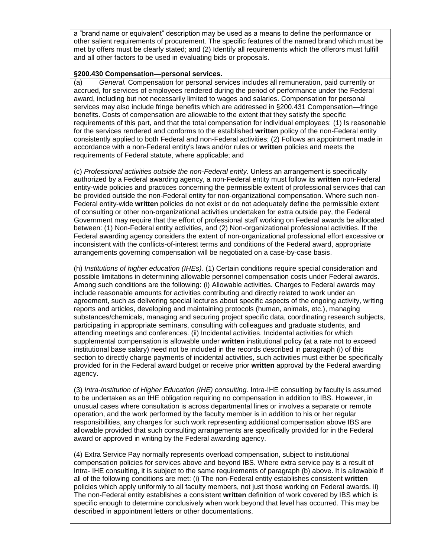a "brand name or equivalent" description may be used as a means to define the performance or other salient requirements of procurement. The specific features of the named brand which must be met by offers must be clearly stated; and (2) Identify all requirements which the offerors must fulfill and all other factors to be used in evaluating bids or proposals.

## **§200.430 Compensation—personal services.**

(a) *General.* Compensation for personal services includes all remuneration, paid currently or accrued, for services of employees rendered during the period of performance under the Federal award, including but not necessarily limited to wages and salaries. Compensation for personal services may also include fringe benefits which are addressed in §200.431 Compensation—fringe benefits. Costs of compensation are allowable to the extent that they satisfy the specific requirements of this part, and that the total compensation for individual employees: (1) Is reasonable for the services rendered and conforms to the established **written** policy of the non-Federal entity consistently applied to both Federal and non-Federal activities; (2) Follows an appointment made in accordance with a non-Federal entity's laws and/or rules or **written** policies and meets the requirements of Federal statute, where applicable; and

(c) *Professional activities outside the non-Federal entity.* Unless an arrangement is specifically authorized by a Federal awarding agency, a non-Federal entity must follow its **written** non-Federal entity-wide policies and practices concerning the permissible extent of professional services that can be provided outside the non-Federal entity for non-organizational compensation. Where such non-Federal entity-wide **written** policies do not exist or do not adequately define the permissible extent of consulting or other non-organizational activities undertaken for extra outside pay, the Federal Government may require that the effort of professional staff working on Federal awards be allocated between: (1) Non-Federal entity activities, and (2) Non-organizational professional activities. If the Federal awarding agency considers the extent of non-organizational professional effort excessive or inconsistent with the conflicts-of-interest terms and conditions of the Federal award, appropriate arrangements governing compensation will be negotiated on a case-by-case basis.

(h) *Institutions of higher education (IHEs).* (1) Certain conditions require special consideration and possible limitations in determining allowable personnel compensation costs under Federal awards. Among such conditions are the following: (i) Allowable activities. Charges to Federal awards may include reasonable amounts for activities contributing and directly related to work under an agreement, such as delivering special lectures about specific aspects of the ongoing activity, writing reports and articles, developing and maintaining protocols (human, animals, etc.), managing substances/chemicals, managing and securing project specific data, coordinating research subjects, participating in appropriate seminars, consulting with colleagues and graduate students, and attending meetings and conferences. (ii) Incidental activities. Incidental activities for which supplemental compensation is allowable under **written** institutional policy (at a rate not to exceed institutional base salary) need not be included in the records described in paragraph (i) of this section to directly charge payments of incidental activities, such activities must either be specifically provided for in the Federal award budget or receive prior **written** approval by the Federal awarding agency.

(3) *Intra-Institution of Higher Education (IHE) consulting.* Intra-IHE consulting by faculty is assumed to be undertaken as an IHE obligation requiring no compensation in addition to IBS. However, in unusual cases where consultation is across departmental lines or involves a separate or remote operation, and the work performed by the faculty member is in addition to his or her regular responsibilities, any charges for such work representing additional compensation above IBS are allowable provided that such consulting arrangements are specifically provided for in the Federal award or approved in writing by the Federal awarding agency.

(4) Extra Service Pay normally represents overload compensation, subject to institutional compensation policies for services above and beyond IBS. Where extra service pay is a result of Intra- IHE consulting, it is subject to the same requirements of paragraph (b) above. It is allowable if all of the following conditions are met: (i) The non-Federal entity establishes consistent **written** policies which apply uniformly to all faculty members, not just those working on Federal awards. ii) The non-Federal entity establishes a consistent **written** definition of work covered by IBS which is specific enough to determine conclusively when work beyond that level has occurred. This may be described in appointment letters or other documentations.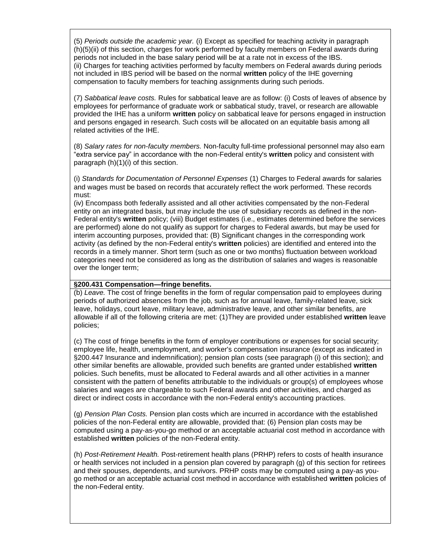(5) *Periods outside the academic year.* (i) Except as specified for teaching activity in paragraph (h)(5)(ii) of this section, charges for work performed by faculty members on Federal awards during periods not included in the base salary period will be at a rate not in excess of the IBS. (ii) Charges for teaching activities performed by faculty members on Federal awards during periods not included in IBS period will be based on the normal **written** policy of the IHE governing compensation to faculty members for teaching assignments during such periods.

(7) *Sabbatical leave costs.* Rules for sabbatical leave are as follow: (i) Costs of leaves of absence by employees for performance of graduate work or sabbatical study, travel, or research are allowable provided the IHE has a uniform **written** policy on sabbatical leave for persons engaged in instruction and persons engaged in research. Such costs will be allocated on an equitable basis among all related activities of the IHE.

(8) *Salary rates for non-faculty members.* Non-faculty full-time professional personnel may also earn "extra service pay" in accordance with the non-Federal entity's **written** policy and consistent with paragraph (h)(1)(i) of this section.

(i) *Standards for Documentation of Personnel Expenses* (1) Charges to Federal awards for salaries and wages must be based on records that accurately reflect the work performed. These records must:

(iv) Encompass both federally assisted and all other activities compensated by the non-Federal entity on an integrated basis, but may include the use of subsidiary records as defined in the non-Federal entity's **written** policy; (viii) Budget estimates (i.e., estimates determined before the services are performed) alone do not qualify as support for charges to Federal awards, but may be used for interim accounting purposes, provided that: (B) Significant changes in the corresponding work activity (as defined by the non-Federal entity's **written** policies) are identified and entered into the records in a timely manner. Short term (such as one or two months) fluctuation between workload categories need not be considered as long as the distribution of salaries and wages is reasonable over the longer term;

# **§200.431 Compensation—fringe benefits.**

(b) *Leave.* The cost of fringe benefits in the form of regular compensation paid to employees during periods of authorized absences from the job, such as for annual leave, family-related leave, sick leave, holidays, court leave, military leave, administrative leave, and other similar benefits, are allowable if all of the following criteria are met: (1)They are provided under established **written** leave policies;

(c) The cost of fringe benefits in the form of employer contributions or expenses for social security; employee life, health, unemployment, and worker's compensation insurance (except as indicated in §200.447 Insurance and indemnification); pension plan costs (see paragraph (i) of this section); and other similar benefits are allowable, provided such benefits are granted under established **written** policies. Such benefits, must be allocated to Federal awards and all other activities in a manner consistent with the pattern of benefits attributable to the individuals or group(s) of employees whose salaries and wages are chargeable to such Federal awards and other activities, and charged as direct or indirect costs in accordance with the non-Federal entity's accounting practices.

(g) *Pension Plan Costs.* Pension plan costs which are incurred in accordance with the established policies of the non-Federal entity are allowable, provided that: (6) Pension plan costs may be computed using a pay-as-you-go method or an acceptable actuarial cost method in accordance with established **written** policies of the non-Federal entity.

(h) *Post-Retirement Health.* Post-retirement health plans (PRHP) refers to costs of health insurance or health services not included in a pension plan covered by paragraph (g) of this section for retirees and their spouses, dependents, and survivors. PRHP costs may be computed using a pay-as yougo method or an acceptable actuarial cost method in accordance with established **written** policies of the non-Federal entity.